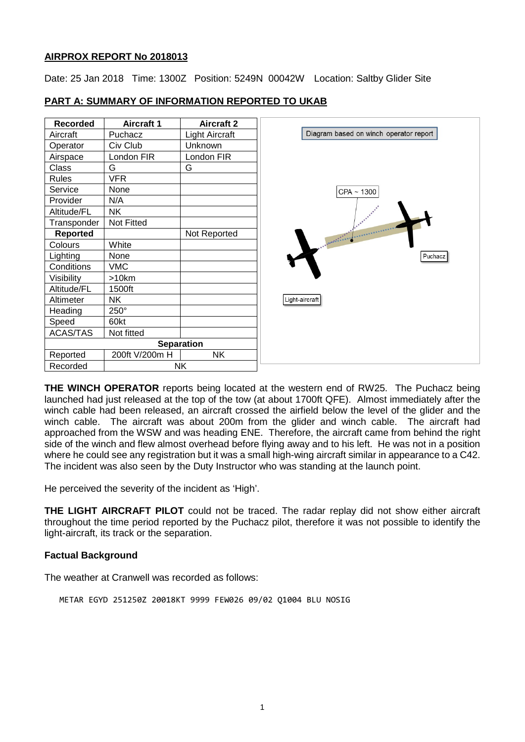### **AIRPROX REPORT No 2018013**

Date: 25 Jan 2018 Time: 1300Z Position: 5249N 00042W Location: Saltby Glider Site

| <b>Recorded</b>   | <b>Aircraft 1</b> | <b>Aircraft 2</b> |
|-------------------|-------------------|-------------------|
| Aircraft          | Puchacz           | Light Aircraft    |
| Operator          | Civ Club          | Unknown           |
| Airspace          | London FIR        | London FIR        |
| Class             | G                 | G                 |
| Rules             | <b>VFR</b>        |                   |
| Service           | None              |                   |
| Provider          | N/A               |                   |
| Altitude/FL       | <b>NK</b>         |                   |
| Transponder       | Not Fitted        |                   |
| <b>Reported</b>   |                   | Not Reported      |
| Colours           | White             |                   |
| Lighting          | None              |                   |
| Conditions        | <b>VMC</b>        |                   |
| Visibility        | >10km             |                   |
| Altitude/FL       | 1500ft            |                   |
| Altimeter         | <b>NK</b>         |                   |
| Heading           | 250°              |                   |
| Speed             | 60kt              |                   |
| <b>ACAS/TAS</b>   | Not fitted        |                   |
| <b>Separation</b> |                   |                   |
| Reported          | 200ft V/200m H    | <b>NK</b>         |
| Recorded          |                   | <b>NK</b>         |

## **PART A: SUMMARY OF INFORMATION REPORTED TO UKAB**

**THE WINCH OPERATOR** reports being located at the western end of RW25. The Puchacz being launched had just released at the top of the tow (at about 1700ft QFE). Almost immediately after the winch cable had been released, an aircraft crossed the airfield below the level of the glider and the winch cable. The aircraft was about 200m from the glider and winch cable. The aircraft had approached from the WSW and was heading ENE. Therefore, the aircraft came from behind the right side of the winch and flew almost overhead before flying away and to his left. He was not in a position where he could see any registration but it was a small high-wing aircraft similar in appearance to a C42. The incident was also seen by the Duty Instructor who was standing at the launch point.

He perceived the severity of the incident as 'High'.

**THE LIGHT AIRCRAFT PILOT** could not be traced. The radar replay did not show either aircraft throughout the time period reported by the Puchacz pilot, therefore it was not possible to identify the light-aircraft, its track or the separation.

# **Factual Background**

The weather at Cranwell was recorded as follows:

METAR EGYD 251250Z 20018KT 9999 FEW026 09/02 Q1004 BLU NOSIG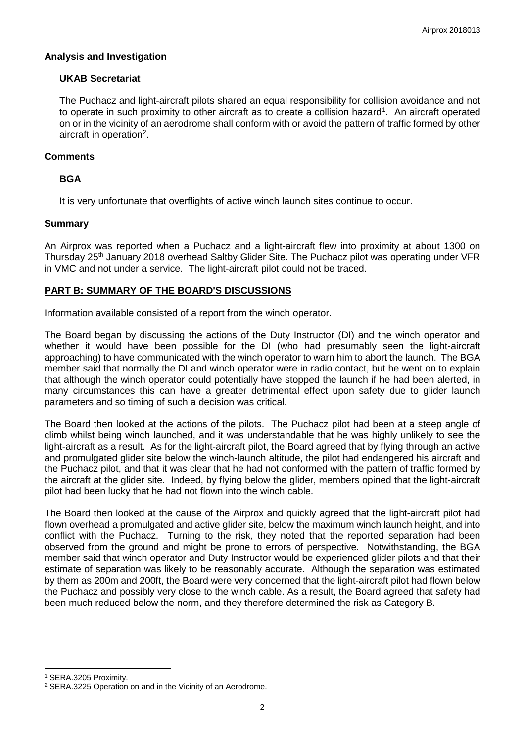### **Analysis and Investigation**

## **UKAB Secretariat**

The Puchacz and light-aircraft pilots shared an equal responsibility for collision avoidance and not to operate in such proximity to other aircraft as to create a collision hazard<sup>[1](#page-1-0)</sup>. An aircraft operated on or in the vicinity of an aerodrome shall conform with or avoid the pattern of traffic formed by other aircraft in operation<sup>[2](#page-1-1)</sup>.

## **Comments**

# **BGA**

It is very unfortunate that overflights of active winch launch sites continue to occur.

## **Summary**

An Airprox was reported when a Puchacz and a light-aircraft flew into proximity at about 1300 on Thursday 25<sup>th</sup> January 2018 overhead Saltby Glider Site. The Puchacz pilot was operating under VFR in VMC and not under a service. The light-aircraft pilot could not be traced.

# **PART B: SUMMARY OF THE BOARD'S DISCUSSIONS**

Information available consisted of a report from the winch operator.

The Board began by discussing the actions of the Duty Instructor (DI) and the winch operator and whether it would have been possible for the DI (who had presumably seen the light-aircraft approaching) to have communicated with the winch operator to warn him to abort the launch. The BGA member said that normally the DI and winch operator were in radio contact, but he went on to explain that although the winch operator could potentially have stopped the launch if he had been alerted, in many circumstances this can have a greater detrimental effect upon safety due to glider launch parameters and so timing of such a decision was critical.

The Board then looked at the actions of the pilots. The Puchacz pilot had been at a steep angle of climb whilst being winch launched, and it was understandable that he was highly unlikely to see the light-aircraft as a result. As for the light-aircraft pilot, the Board agreed that by flying through an active and promulgated glider site below the winch-launch altitude, the pilot had endangered his aircraft and the Puchacz pilot, and that it was clear that he had not conformed with the pattern of traffic formed by the aircraft at the glider site. Indeed, by flying below the glider, members opined that the light-aircraft pilot had been lucky that he had not flown into the winch cable.

The Board then looked at the cause of the Airprox and quickly agreed that the light-aircraft pilot had flown overhead a promulgated and active glider site, below the maximum winch launch height, and into conflict with the Puchacz. Turning to the risk, they noted that the reported separation had been observed from the ground and might be prone to errors of perspective. Notwithstanding, the BGA member said that winch operator and Duty Instructor would be experienced glider pilots and that their estimate of separation was likely to be reasonably accurate. Although the separation was estimated by them as 200m and 200ft, the Board were very concerned that the light-aircraft pilot had flown below the Puchacz and possibly very close to the winch cable. As a result, the Board agreed that safety had been much reduced below the norm, and they therefore determined the risk as Category B.

l

<span id="page-1-0"></span><sup>1</sup> SERA.3205 Proximity.

<span id="page-1-1"></span><sup>2</sup> SERA.3225 Operation on and in the Vicinity of an Aerodrome.